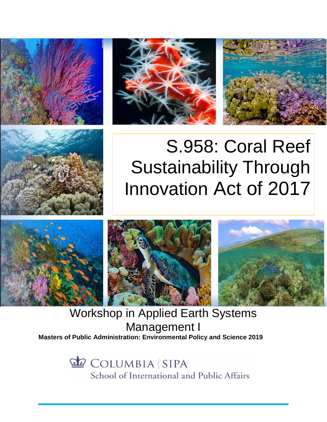







# S.958: Coral Reef Sustainability Through Innovation Act of 2017



Workshop in Applied Earth Systems Management I **Masters of Public Administration: Environmental Policy and Science 2019**

> COLUMBIA SIPA School of International and Public Affairs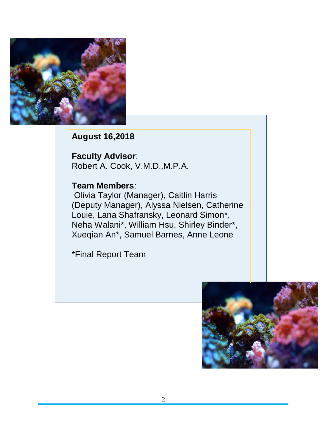

**August 16,2018**

**Faculty Advisor**: Robert A. Cook, V.M.D.,M.P.A.

## **Team Members**:

Olivia Taylor (Manager), Caitlin Harris (Deputy Manager), Alyssa Nielsen, Catherine Louie, Lana Shafransky, Leonard Simon\*, Neha Walani\*, William Hsu, Shirley Binder\*, Xueqian An\*, Samuel Barnes, Anne Leone

\*Final Report Team

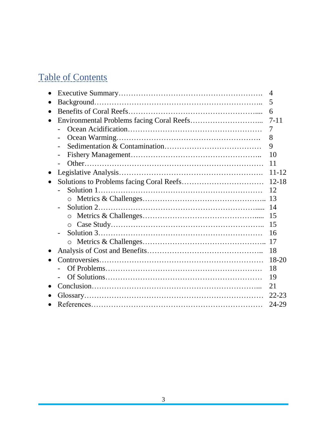# Table of Contents

|           | $\overline{4}$ |
|-----------|----------------|
| $\bullet$ | 5              |
|           | 6              |
|           | $7 - 11$       |
|           | $\overline{7}$ |
|           | 8              |
|           | 9              |
|           | 10             |
|           | 11             |
| $\bullet$ | $11 - 12$      |
|           |                |
|           | 12             |
|           |                |
|           | 14             |
|           | 15             |
|           | 15             |
|           | 16             |
|           |                |
|           | 18             |
|           | $18-20$        |
|           | 18             |
|           | 19             |
|           | 21             |
|           | $22 - 23$      |
|           | 24-29          |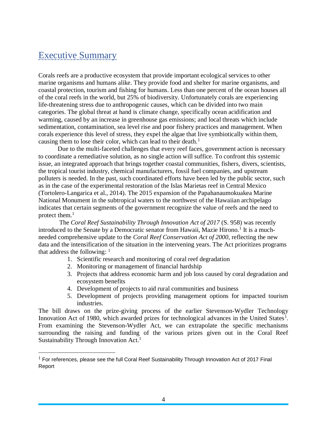## Executive Summary

 $\overline{a}$ 

Corals reefs are a productive ecosystem that provide important ecological services to other marine organisms and humans alike. They provide food and shelter for marine organisms, and coastal protection, tourism and fishing for humans. Less than one percent of the ocean houses all of the coral reefs in the world, but 25% of biodiversity. Unfortunately corals are experiencing life-threatening stress due to anthropogenic causes, which can be divided into two main categories. The global threat at hand is climate change, specifically ocean acidification and warming, caused by an increase in greenhouse gas emissions; and local threats which include sedimentation, contamination, sea level rise and poor fishery practices and management. When corals experience this level of stress, they expel the algae that live symbiotically within them, causing them to lose their color, which can lead to their death.<sup>1</sup>

Due to the multi-faceted challenges that every reef faces, government action is necessary to coordinate a remediative solution, as no single action will suffice. To confront this systemic issue, an integrated approach that brings together coastal communities, fishers, divers, scientists, the tropical tourist industry, chemical manufacturers, fossil fuel companies, and upstream polluters is needed. In the past, such coordinated efforts have been led by the public sector, such as in the case of the experimental restoration of the Islas Marietas reef in Central Mexico (Tortolero-Langarica et al., 2014). The 2015 expansion of the Papahanaumokuakea Marine National Monument in the subtropical waters to the northwest of the Hawaiian archipelago indicates that certain segments of the government recognize the value of reefs and the need to protect them.<sup>1</sup>

The *Coral Reef Sustainability Through Innovation Act of 2017* (S. 958) was recently introduced to the Senate by a Democratic senator from Hawaii, Mazie Hirono.<sup>1</sup> It is a muchneeded comprehensive update to the *Coral Reef Conservation Act of 2000*, reflecting the new data and the intensification of the situation in the intervening years. The Act prioritizes programs that address the following:  $<sup>1</sup>$ </sup>

- 1. Scientific research and monitoring of coral reef degradation
- 2. Monitoring or management of financial hardship
- 3. Projects that address economic harm and job loss caused by coral degradation and ecosystem benefits
- 4. Development of projects to aid rural communities and business
- 5. Development of projects providing management options for impacted tourism industries.

The bill draws on the prize-giving process of the earlier Stevenson-Wydler Technology Innovation Act of 1980, which awarded prizes for technological advances in the United States<sup>1</sup>. From examining the Stevenson-Wydler Act, we can extrapolate the specific mechanisms surrounding the raising and funding of the various prizes given out in the Coral Reef Sustainability Through Innovation Act.<sup>1</sup>

 $<sup>1</sup>$  For references, please see the full Coral Reef Sustainability Through Innovation Act of 2017 Final</sup> Report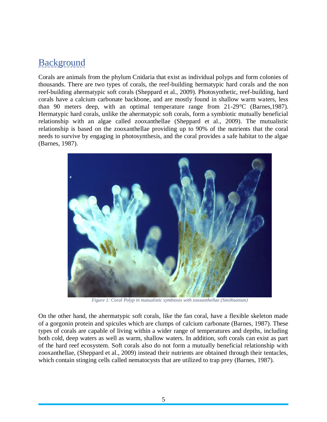# Background

Corals are animals from the phylum Cnidaria that exist as individual polyps and form colonies of thousands. There are two types of corals, the reef-building hermatypic hard corals and the non reef-building ahermatypic soft corals (Sheppard et al., 2009). Photosynthetic, reef-building, hard corals have a calcium carbonate backbone, and are mostly found in shallow warm waters, less than 90 meters deep, with an optimal temperature range from 21-29°C (Barnes,1987). Hermatypic hard corals, unlike the ahermatypic soft corals, form a symbiotic mutually beneficial relationship with an algae called zooxanthellae (Sheppard et al., 2009). The mutualistic relationship is based on the zooxanthellae providing up to 90% of the nutrients that the coral needs to survive by engaging in photosynthesis, and the coral provides a safe habitat to the algae (Barnes, 1987).



*Figure 1: Coral Polyp in mutualistic symbiosis with zooxanthellae (Smithsonian)*

On the other hand, the ahermatypic soft corals, like the fan coral, have a flexible skeleton made of a gorgonin protein and spicules which are clumps of calcium carbonate (Barnes, 1987). These types of corals are capable of living within a wider range of temperatures and depths, including both cold, deep waters as well as warm, shallow waters. In addition, soft corals can exist as part of the hard reef ecosystem. Soft corals also do not form a mutually beneficial relationship with zooxanthellae, (Sheppard et al., 2009) instead their nutrients are obtained through their tentacles, which contain stinging cells called nematocysts that are utilized to trap prey (Barnes, 1987).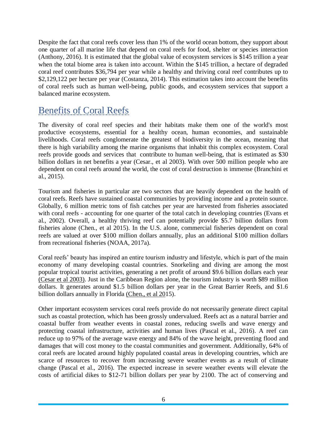Despite the fact that coral reefs cover less than 1% of the world ocean bottom, they support about one quarter of all marine life that depend on coral reefs for food, shelter or species interaction (Anthony, 2016). It is estimated that the global value of ecosystem services is \$145 trillion a year when the total biome area is taken into account. Within the \$145 trillion, a hectare of degraded coral reef contributes \$36,794 per year while a healthy and thriving coral reef contributes up to \$2,129,122 per hectare per year (Costanza, 2014). This estimation takes into account the benefits of coral reefs such as human well-being, public goods, and ecosystem services that support a balanced marine ecosystem.

# Benefits of Coral Reefs

The diversity of coral reef species and their habitats make them one of the world's most productive ecosystems, essential for a healthy ocean, human economies, and sustainable livelihoods. Coral reefs conglomerate the greatest of biodiversity in the ocean, meaning that there is high variability among the marine organisms that inhabit this complex ecosystem. Coral reefs provide goods and services that contribute to human well-being, that is estimated as \$30 billion dollars in net benefits a year (Cesar., et al 2003). With over 500 million people who are dependent on coral reefs around the world, the cost of coral destruction is immense (Branchini et al., 2015).

Tourism and fisheries in particular are two sectors that are heavily dependent on the health of coral reefs. Reefs have sustained coastal communities by providing income and a protein source. Globally, 6 million metric tons of fish catches per year are harvested from fisheries associated with coral reefs - accounting for one quarter of the total catch in developing countries (Evans et al., 2002). Overall, a healthy thriving reef can potentially provide \$5.7 billion dollars from fisheries alone (Chen., et al 2015). In the U.S. alone, commercial fisheries dependent on coral reefs are valued at over \$100 million dollars annually, plus an additional \$100 million dollars from recreational fisheries (NOAA, 2017a).

Coral reefs' beauty has inspired an entire tourism industry and lifestyle, which is part of the main economy of many developing coastal countries. Snorkeling and diving are among the most popular tropical tourist activities, generating a net profit of around \$9.6 billion dollars each year [\(Cesar et al 2003\).](http://eprints.uberibz.org/48/1/Rappor03.pdf) Just in the Caribbean Region alone, the tourism industry is worth \$89 million dollars. It generates around \$1.5 billion dollars per year in the Great Barrier Reefs, and \$1.6 billion dollars annually in Florida [\(Chen., et al 201](https://pdfs.semanticscholar.org/f1c3/c837deafaa932c5d56e57bb36dc5a2b74885.pdf)5).

Other important ecosystem services coral reefs provide do not necessarily generate direct capital such as coastal protection, which has been grossly undervalued. Reefs act as a natural barrier and coastal buffer from weather events in coastal zones, reducing swells and wave energy and protecting coastal infrastructure, activities and human lives (Pascal et al., 2016). A reef can reduce up to 97% of the average wave energy and 84% of the wave height, preventing flood and damages that will cost money to the coastal communities and government. Additionally, 64% of coral reefs are located around highly populated coastal areas in developing countries, which are scarce of resources to recover from increasing severe weather events as a result of climate change (Pascal et al., 2016). The expected increase in severe weather events will elevate the costs of artificial dikes to \$12-71 billion dollars per year by 2100. The act of conserving and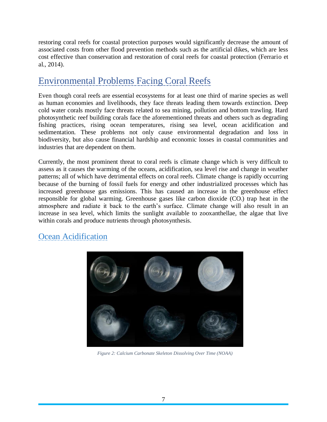restoring coral reefs for coastal protection purposes would significantly decrease the amount of associated costs from other flood prevention methods such as the artificial dikes, which are less cost effective than conservation and restoration of coral reefs for coastal protection (Ferrario et al., 2014).

# Environmental Problems Facing Coral Reefs

Even though coral reefs are essential ecosystems for at least one third of marine species as well as human economies and livelihoods, they face threats leading them towards extinction. Deep cold water corals mostly face threats related to sea mining, pollution and bottom trawling. Hard photosynthetic reef building corals face the aforementioned threats and others such as degrading fishing practices, rising ocean temperatures, rising sea level, ocean acidification and sedimentation. These problems not only cause environmental degradation and loss in biodiversity, but also cause financial hardship and economic losses in coastal communities and industries that are dependent on them.

Currently, the most prominent threat to coral reefs is climate change which is very difficult to assess as it causes the warming of the oceans, acidification, sea level rise and change in weather patterns; all of which have detrimental effects on coral reefs. Climate change is rapidly occurring because of the burning of fossil fuels for energy and other industrialized processes which has increased greenhouse gas emissions. This has caused an increase in the greenhouse effect responsible for global warming. Greenhouse gases like carbon dioxide  $(CO<sub>2</sub>)$  trap heat in the atmosphere and radiate it back to the earth's surface. Climate change will also result in an increase in sea level, which limits the sunlight available to zooxanthellae, the algae that live within corals and produce nutrients through photosynthesis.

## Ocean Acidification



*Figure 2: Calcium Carbonate Skeleton Dissolving Over Time (NOAA)*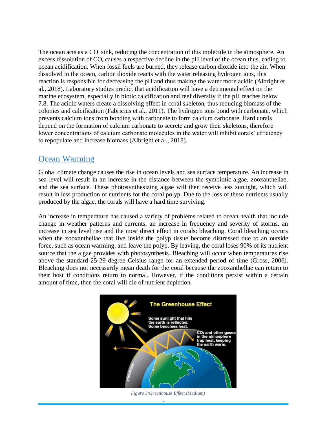The ocean acts as a  $CO<sub>2</sub>$  sink, reducing the concentration of this molecule in the atmosphere. An excess dissolution of  $CO<sub>2</sub>$  causes a respective decline in the pH level of the ocean thus leading to ocean acidification. When fossil fuels are burned, they release carbon dioxide into the air. When dissolved in the ocean, carbon dioxide reacts with the water releasing hydrogen ions, this reaction is responsible for decreasing the pH and thus making the water more acidic (Albright et al., 2018). Laboratory studies predict that acidification will have a detrimental effect on the marine ecosystem, especially in biotic calcification and reef diversity if the pH reaches below 7.8. The acidic waters create a dissolving effect in coral skeleton, thus reducing biomass of the colonies and calcification (Fabricius et al., 2011). The hydrogen ions bond with carbonate, which prevents calcium ions from bonding with carbonate to form calcium carbonate. Hard corals depend on the formation of calcium carbonate to secrete and grow their skeletons, therefore lower concentrations of calcium carbonate molecules in the water will inhibit corals' efficiency to repopulate and increase biomass (Albright et al., 2018).

#### Ocean Warming

Global climate change causes the rise in ocean levels and sea surface temperature. An increase in sea level will result in an increase in the distance between the symbiotic algae, zooxanthellae, and the sea surface. These photosynthesizing algae will then receive less sunlight, which will result in less production of nutrients for the coral polyp. Due to the loss of these nutrients usually produced by the algae, the corals will have a hard time surviving.

An increase in temperature has caused a variety of problems related to ocean health that include change in weather patterns and currents, an increase in frequency and severity of storms, an increase in sea level rise and the most direct effect in corals: bleaching. Coral bleaching occurs when the zooxanthellae that live inside the polyp tissue become distressed due to an outside force, such as ocean warming, and leave the polyp. By leaving, the coral loses 90% of its nutrient source that the algae provides with photosynthesis. Bleaching will occur when temperatures rise above the standard 25-29 degree Celsius range for an extended period of time (Gross, 2006). Bleaching does not necessarily mean death for the coral because the zooxanthellae can return to their host if conditions return to normal. However, if the conditions persist within a certain amount of time, then the coral will die of nutrient depletion.



*Figure 3:Greenhouse Effect (Medium)*

 $\overline{a}$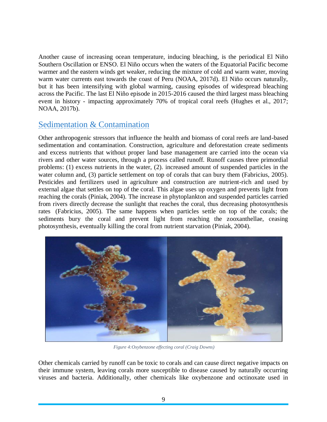Another cause of increasing ocean temperature, inducing bleaching, is the periodical El Niño Southern Oscillation or ENSO. El Niño occurs when the waters of the Equatorial Pacific become warmer and the eastern winds get weaker, reducing the mixture of cold and warm water, moving warm water currents east towards the coast of Peru (NOAA, 2017d). El Niño occurs naturally, but it has been intensifying with global warming, causing episodes of widespread bleaching across the Pacific. The last El Niño episode in 2015-2016 caused the third largest mass bleaching event in history - impacting approximately 70% of tropical coral reefs (Hughes et al., 2017; NOAA, 2017b).

#### Sedimentation & Contamination

Other anthropogenic stressors that influence the health and biomass of coral reefs are land-based sedimentation and contamination. Construction, agriculture and deforestation create sediments and excess nutrients that without proper land base management are carried into the ocean via rivers and other water sources, through a process called runoff. Runoff causes three primordial problems: (1) excess nutrients in the water, (2). increased amount of suspended particles in the water column and, (3) particle settlement on top of corals that can bury them (Fabricius, 2005). Pesticides and fertilizers used in agriculture and construction are nutrient-rich and used by external algae that settles on top of the coral. This algae uses up oxygen and prevents light from reaching the corals (Piniak, 2004). The increase in phytoplankton and suspended particles carried from rivers directly decrease the sunlight that reaches the coral, thus decreasing photosynthesis rates (Fabricius, 2005). The same happens when particles settle on top of the corals; the sediments bury the coral and prevent light from reaching the zooxanthellae, ceasing photosynthesis, eventually killing the coral from nutrient starvation (Piniak, 2004).



*Figure 4:Oxybenzone effecting coral (Craig Downs)*

Other chemicals carried by runoff can be toxic to corals and can cause direct negative impacts on their immune system, leaving corals more susceptible to disease caused by naturally occurring viruses and bacteria. Additionally, other chemicals like oxybenzone and octinoxate used in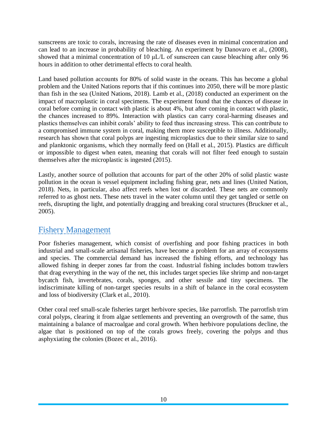sunscreens are toxic to corals, increasing the rate of diseases even in minimal concentration and can lead to an increase in probability of bleaching. An experiment by Danovaro et al., (2008), showed that a minimal concentration of 10 μL/L of sunscreen can cause bleaching after only 96 hours in addition to other detrimental effects to coral health.

Land based pollution accounts for 80% of solid waste in the oceans. This has become a global problem and the United Nations reports that if this continues into 2050, there will be more plastic than fish in the sea (United Nations, 2018). Lamb et al., (2018) conducted an experiment on the impact of macroplastic in coral specimens. The experiment found that the chances of disease in coral before coming in contact with plastic is about 4%, but after coming in contact with plastic, the chances increased to 89%. Interaction with plastics can carry coral-harming diseases and plastics themselves can inhibit corals' ability to feed thus increasing stress. This can contribute to a compromised immune system in coral, making them more susceptible to illness. Additionally, research has shown that coral polyps are ingesting microplastics due to their similar size to sand and planktonic organisms, which they normally feed on (Hall et al., 2015). Plastics are difficult or impossible to digest when eaten, meaning that corals will not filter feed enough to sustain themselves after the microplastic is ingested (2015).

Lastly, another source of pollution that accounts for part of the other 20% of solid plastic waste pollution in the ocean is vessel equipment including fishing gear, nets and lines (United Nation, 2018). Nets, in particular, also affect reefs when lost or discarded. These nets are commonly referred to as ghost nets. These nets travel in the water column until they get tangled or settle on reefs, disrupting the light, and potentially dragging and breaking coral structures (Bruckner et al., 2005).

#### Fishery Management

Poor fisheries management, which consist of overfishing and poor fishing practices in both industrial and small-scale artisanal fisheries, have become a problem for an array of ecosystems and species. The commercial demand has increased the fishing efforts, and technology has allowed fishing in deeper zones far from the coast. Industrial fishing includes bottom trawlers that drag everything in the way of the net, this includes target species like shrimp and non-target bycatch fish, invertebrates, corals, sponges, and other sessile and tiny specimens. The indiscriminate killing of non-target species results in a shift of balance in the coral ecosystem and loss of biodiversity (Clark et al., 2010).

Other coral reef small-scale fisheries target herbivore species, like parrotfish. The parrotfish trim coral polyps, clearing it from algae settlements and preventing an overgrowth of the same, thus maintaining a balance of macroalgae and coral growth. When herbivore populations decline, the algae that is positioned on top of the corals grows freely, covering the polyps and thus asphyxiating the colonies (Bozec et al., 2016).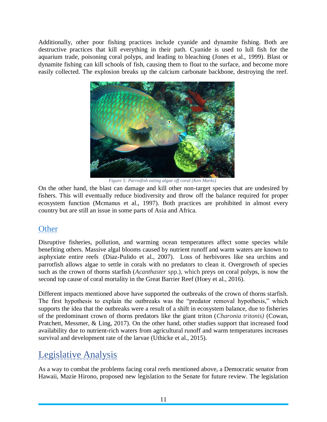Additionally, other poor fishing practices include cyanide and dynamite fishing. Both are destructive practices that kill everything in their path. Cyanide is used to lull fish for the aquarium trade, poisoning coral polyps, and leading to bleaching (Jones et al., 1999). Blast or dynamite fishing can kill schools of fish, causing them to float to the surface, and become more easily collected. The explosion breaks up the calcium carbonate backbone, destroying the reef.



*Figure 5: Parrotfish eating algae off coral (Ken Marks)*

On the other hand, the blast can damage and kill other non-target species that are undesired by fishers. This will eventually reduce biodiversity and throw off the balance required for proper ecosystem function (Mcmanus et al., 1997). Both practices are prohibited in almost every country but are still an issue in some parts of Asia and Africa.

## **Other**

Disruptive fisheries, pollution, and warming ocean temperatures affect some species while benefiting others. Massive algal blooms caused by nutrient runoff and warm waters are known to asphyxiate entire reefs (Diaz-Pulido et al., 2007). Loss of herbivores like sea urchins and parrotfish allows algae to settle in corals with no predators to clean it. Overgrowth of species such as the crown of thorns starfish (*Acanthaster* spp.), which preys on coral polyps, is now the second top cause of coral mortality in the Great Barrier Reef (Hoey et al., 2016).

Different impacts mentioned above have supported the outbreaks of the crown of thorns starfish. The first hypothesis to explain the outbreaks was the "predator removal hypothesis," which supports the idea that the outbreaks were a result of a shift in ecosystem balance, due to fisheries of the predominant crown of thorns predators like the giant triton (*Charonia tritonis)* (Cowan, Pratchett, Messmer, & Ling, 2017). On the other hand, other studies support that increased food availability due to nutrient-rich waters from agricultural runoff and warm temperatures increases survival and development rate of the larvae (Uthicke et al., 2015).

# Legislative Analysis

As a way to combat the problems facing coral reefs mentioned above, a Democratic senator from Hawaii, Mazie Hirono, proposed new legislation to the Senate for future review. The legislation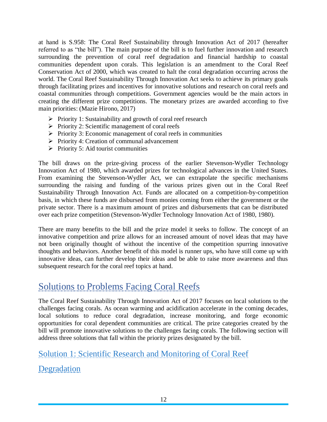at hand is S.958: The Coral Reef Sustainability through Innovation Act of 2017 (hereafter referred to as "the bill"). The main purpose of the bill is to fuel further innovation and research surrounding the prevention of coral reef degradation and financial hardship to coastal communities dependent upon corals. This legislation is an amendment to the Coral Reef Conservation Act of 2000, which was created to halt the coral degradation occurring across the world. The Coral Reef Sustainability Through Innovation Act seeks to achieve its primary goals through facilitating prizes and incentives for innovative solutions and research on coral reefs and coastal communities through competitions. Government agencies would be the main actors in creating the different prize competitions. The monetary prizes are awarded according to five main priorities: (Mazie Hirono, 2017)

- ➢ Priority 1: Sustainability and growth of coral reef research
- $\triangleright$  Priority 2: Scientific management of coral reefs
- ➢ Priority 3: Economic management of coral reefs in communities
- ➢ Priority 4: Creation of communal advancement
- $\triangleright$  Priority 5: Aid tourist communities

The bill draws on the prize-giving process of the earlier Stevenson-Wydler Technology Innovation Act of 1980, which awarded prizes for technological advances in the United States. From examining the Stevenson-Wydler Act, we can extrapolate the specific mechanisms surrounding the raising and funding of the various prizes given out in the Coral Reef Sustainability Through Innovation Act. Funds are allocated on a competition-by-competition basis, in which these funds are disbursed from monies coming from either the government or the private sector. There is a maximum amount of prizes and disbursements that can be distributed over each prize competition (Stevenson-Wydler Technology Innovation Act of 1980, 1980).

There are many benefits to the bill and the prize model it seeks to follow. The concept of an innovative competition and prize allows for an increased amount of novel ideas that may have not been originally thought of without the incentive of the competition spurring innovative thoughts and behaviors. Another benefit of this model is runner ups, who have still come up with innovative ideas, can further develop their ideas and be able to raise more awareness and thus subsequent research for the coral reef topics at hand.

## Solutions to Problems Facing Coral Reefs

The Coral Reef Sustainability Through Innovation Act of 2017 focuses on local solutions to the challenges facing corals. As ocean warming and acidification accelerate in the coming decades, local solutions to reduce coral degradation, increase monitoring, and forge economic opportunities for coral dependent communities are critical. The prize categories created by the bill will promote innovative solutions to the challenges facing corals. The following section will address three solutions that fall within the priority prizes designated by the bill.

# Solution 1: Scientific Research and Monitoring of Coral Reef **Degradation**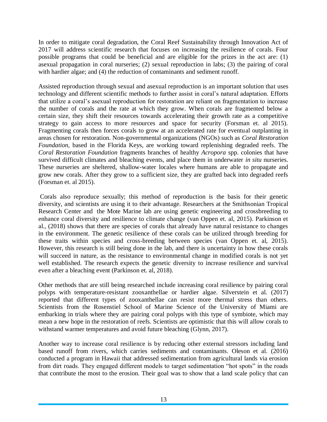In order to mitigate coral degradation, the Coral Reef Sustainability through Innovation Act of 2017 will address scientific research that focuses on increasing the resilience of corals. Four possible programs that could be beneficial and are eligible for the prizes in the act are: (1) asexual propagation in coral nurseries; (2) sexual reproduction in labs; (3) the pairing of coral with hardier algae; and (4) the reduction of contaminants and sediment runoff.

Assisted reproduction through sexual and asexual reproduction is an important solution that uses technology and different scientific methods to further assist in coral's natural adaptation. Efforts that utilize a coral's asexual reproduction for restoration are reliant on fragmentation to increase the number of corals and the rate at which they grow. When corals are fragmented below a certain size, they shift their resources towards accelerating their growth rate as a competitive strategy to gain access to more resources and space for security (Forsman et. al 2015). Fragmenting corals then forces corals to grow at an accelerated rate for eventual outplanting in areas chosen for restoration. Non-governmental organizations (NGOs) such as *Coral Restoration Foundation,* based in the Florida Keys, are working toward replenishing degraded reefs. The *Coral Restoration Foundation* fragments branches of healthy *Acropora* spp. colonies that have survived difficult climates and bleaching events, and place them in underwater *in situ* nurseries. These nurseries are sheltered, shallow-water locales where humans are able to propagate and grow new corals. After they grow to a sufficient size, they are grafted back into degraded reefs (Forsman et. al 2015).

Corals also reproduce sexually; this method of reproduction is the basis for their genetic diversity, and scientists are using it to their advantage. Researchers at the Smithsonian Tropical Research Center and the Mote Marine lab are using genetic engineering and crossbreeding to enhance coral diversity and resilience to climate change (van Oppen et. al, 2015). Parkinson et al., (2018) shows that there are species of corals that already have natural resistance to changes in the environment. The genetic resilience of these corals can be utilized through breeding for these traits within species and cross-breeding between species (van Oppen et. al, 2015). However, this research is still being done in the lab, and there is uncertainty in how these corals will succeed in nature, as the resistance to environmental change in modified corals is not yet well established. The research expects the genetic diversity to increase resilience and survival even after a bleaching event (Parkinson et. al, 2018).

Other methods that are still being researched include increasing coral resilience by pairing coral polyps with temperature-resistant zooxanthellae or hardier algae. Silverstein et al. (2017) reported that different types of zooxanthellae can resist more thermal stress than others. Scientists from the Rosenstiel School of Marine Science of the University of Miami are embarking in trials where they are pairing coral polyps with this type of symbiote, which may mean a new hope in the restoration of reefs. Scientists are optimistic that this will allow corals to withstand warmer temperatures and avoid future bleaching (Glynn, 2017).

Another way to increase coral resilience is by reducing other external stressors including land based runoff from rivers, which carries sediments and contaminants. Oleson et al. (2016) conducted a program in Hawaii that addressed sedimentation from agricultural lands via erosion from dirt roads. They engaged different models to target sedimentation "hot spots" in the roads that contribute the most to the erosion. Their goal was to show that a land scale policy that can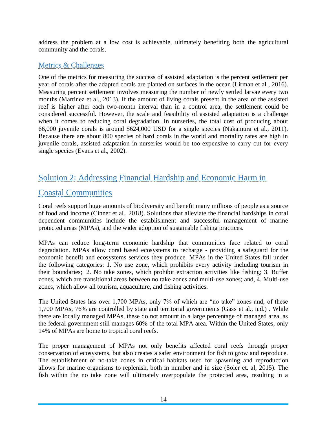address the problem at a low cost is achievable, ultimately benefiting both the agricultural community and the corals.

#### Metrics & Challenges

One of the metrics for measuring the success of assisted adaptation is the percent settlement per year of corals after the adapted corals are planted on surfaces in the ocean (Lirman et al., 2016). Measuring percent settlement involves measuring the number of newly settled larvae every two months (Martinez et al., 2013). If the amount of living corals present in the area of the assisted reef is higher after each two-month interval than in a control area, the settlement could be considered successful. However, the scale and feasibility of assisted adaptation is a challenge when it comes to reducing coral degradation. In nurseries, the total cost of producing about 66,000 juvenile corals is around \$624,000 USD for a single species (Nakamura et al., 2011). Because there are about 800 species of hard corals in the world and mortality rates are high in juvenile corals, assisted adaptation in nurseries would be too expensive to carry out for every single species (Evans et al., 2002).

## Solution 2: Addressing Financial Hardship and Economic Harm in

## Coastal Communities

Coral reefs support huge amounts of biodiversity and benefit many millions of people as a source of food and income (Cinner et al., 2018). Solutions that alleviate the financial hardships in coral dependent communities include the establishment and successful management of marine protected areas (MPAs), and the wider adoption of sustainable fishing practices.

MPAs can reduce long-term economic hardship that communities face related to coral degradation. MPAs allow coral based ecosystems to recharge - providing a safeguard for the economic benefit and ecosystems services they produce. MPAs in the United States fall under the following categories: 1. No use zone, which prohibits every activity including tourism in their boundaries; 2. No take zones, which prohibit extraction activities like fishing; 3. Buffer zones, which are transitional areas between no take zones and multi-use zones; and, 4. Multi-use zones, which allow all tourism, aquaculture, and fishing activities.

The United States has over 1,700 MPAs, only 7% of which are "no take" zones and, of these 1,700 MPAs, 76% are controlled by state and territorial governments (Gass et al., n.d.) . While there are locally managed MPAs, these do not amount to a large percentage of managed area, as the federal government still manages 60% of the total MPA area. Within the United States, only 14% of MPAs are home to tropical coral reefs.

The proper management of MPAs not only benefits affected coral reefs through proper conservation of ecosystems, but also creates a safer environment for fish to grow and reproduce. The establishment of no-take zones in critical habitats used for spawning and reproduction allows for marine organisms to replenish, both in number and in size (Soler et. al, 2015). The fish within the no take zone will ultimately overpopulate the protected area, resulting in a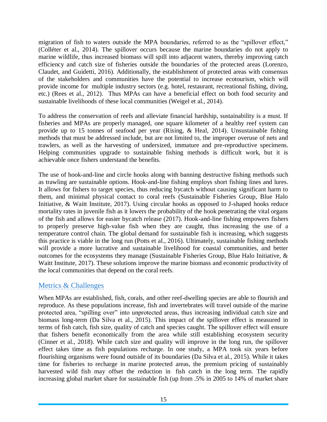migration of fish to waters outside the MPA boundaries, referred to as the "spillover effect," (Colléter et al., 2014). The spillover occurs because the marine boundaries do not apply to marine wildlife, thus increased biomass will spill into adjacent waters, thereby improving catch efficiency and catch size of fisheries outside the boundaries of the protected areas (Lorenzo, Claudet, and Guidetti, 2016). Additionally, the establishment of protected areas with consensus of the stakeholders and communities have the potential to increase ecotourism, which will provide income for multiple industry sectors (e.g. hotel, restaurant, recreational fishing, diving, etc.) (Rees et al., 2012). Thus MPAs can have a beneficial effect on both food security and sustainable livelihoods of these local communities (Weigel et al., 2014).

To address the conservation of reefs and alleviate financial hardship, sustainability is a must. If fisheries and MPAs are properly managed, one square kilometer of a healthy reef system can provide up to 15 tonnes of seafood per year (Rising, & Heal, 2014). Unsustainable fishing methods that must be addressed include, but are not limited to, the improper overuse of nets and trawlers, as well as the harvesting of undersized, immature and pre-reproductive specimens. Helping communities upgrade to sustainable fishing methods is difficult work, but it is achievable once fishers understand the benefits.

The use of hook-and-line and circle hooks along with banning destructive fishing methods such as trawling are sustainable options. Hook-and-line fishing employs short fishing lines and lures. It allows for fishers to target species, thus reducing bycatch without causing significant harm to them, and minimal physical contact to coral reefs (Sustainable Fisheries Group, Blue Halo Initiative, & Waitt Institute, 2017). Using circular hooks as opposed to J-shaped hooks reduce mortality rates in juvenile fish as it lowers the probability of the hook penetrating the vital organs of the fish and allows for easier bycatch release (2017). Hook-and-line fishing empowers fishers to properly preserve high-value fish when they are caught, thus increasing the use of a temperature control chain. The global demand for sustainable fish is increasing, which suggests this practice is viable in the long run (Potts et al., 2016). Ultimately, sustainable fishing methods will provide a more lucrative and sustainable livelihood for coastal communities, and better outcomes for the ecosystems they manage (Sustainable Fisheries Group, Blue Halo Initiative, & Waitt Institute, 2017). These solutions improve the marine biomass and economic productivity of the local communities that depend on the coral reefs.

#### Metrics & Challenges

When MPAs are established, fish, corals, and other reef-dwelling species are able to flourish and reproduce. As these populations increase, fish and invertebrates will travel outside of the marine protected area, "spilling over" into unprotected areas, thus increasing individual catch size and biomass long-term (Da Silva et al., 2015). This impact of the spillover effect is measured in terms of fish catch, fish size, quality of catch and species caught. The spillover effect will ensure that fishers benefit economically from the area while still establishing ecosystem security (Cinner et al., 2018). While catch size and quality will improve in the long run, the spillover effect takes time as fish populations recharge. In one study, a MPA took six years before flourishing organisms were found outside of its boundaries (Da Silva et al., 2015). While it takes time for fisheries to recharge in marine protected areas, the premium pricing of sustainably harvested wild fish may offset the reduction in fish catch in the long term. The rapidly increasing global market share for sustainable fish (up from .5% in 2005 to 14% of market share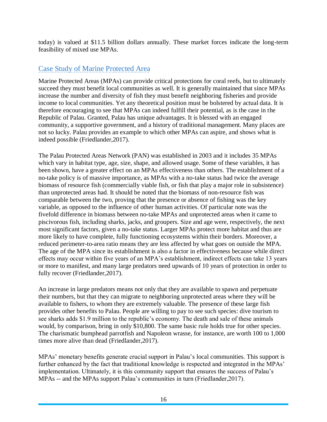today) is valued at \$11.5 billion dollars annually. These market forces indicate the long-term feasibility of mixed use MPAs.

#### Case Study of Marine Protected Area

Marine Protected Areas (MPAs) can provide critical protections for coral reefs, but to ultimately succeed they must benefit local communities as well. It is generally maintained that since MPAs increase the number and diversity of fish they must benefit neighboring fisheries and provide income to local communities. Yet any theoretical position must be bolstered by actual data. It is therefore encouraging to see that MPAs can indeed fulfill their potential, as is the case in the Republic of Palau. Granted, Palau has unique advantages. It is blessed with an engaged community, a supportive government, and a history of traditional management. Many places are not so lucky. Palau provides an example to which other MPAs can aspire, and shows what is indeed possible (Friedlander,2017).

The Palau Protected Areas Network (PAN) was established in 2003 and it includes 35 MPAs which vary in habitat type, age, size, shape, and allowed usage. Some of these variables, it has been shown, have a greater effect on an MPAs effectiveness than others. The establishment of a no-take policy is of massive importance, as MPAs with a no-take status had twice the average biomass of resource fish (commercially viable fish, or fish that play a major role in subsistence) than unprotected areas had. It should be noted that the biomass of non-resource fish was comparable between the two, proving that the presence or absence of fishing was the key variable, as opposed to the influence of other human activities. Of particular note was the fivefold difference in biomass between no-take MPAs and unprotected areas when it came to piscivorous fish, including sharks, jacks, and groupers. Size and age were, respectively, the next most significant factors, given a no-take status. Larger MPAs protect more habitat and thus are more likely to have complete, fully functioning ecosystems within their borders. Moreover, a reduced perimeter-to-area ratio means they are less affected by what goes on outside the MPA. The age of the MPA since its establishment is also a factor in effectiveness because while direct effects may occur within five years of an MPA's establishment, indirect effects can take 13 years or more to manifest, and many large predators need upwards of 10 years of protection in order to fully recover (Friedlander,2017).

An increase in large predators means not only that they are available to spawn and perpetuate their numbers, but that they can migrate to neighboring unprotected areas where they will be available to fishers, to whom they are extremely valuable. The presence of these large fish provides other benefits to Palau. People are willing to pay to see such species: dive tourism to see sharks adds \$1.9 million to the republic's economy. The death and sale of these animals would, by comparison, bring in only \$10,800. The same basic rule holds true for other species. The charismatic bumphead parrotfish and Napoleon wrasse, for instance, are worth 100 to 1,000 times more alive than dead (Friedlander,2017).

MPAs' monetary benefits generate crucial support in Palau's local communities. This support is further enhanced by the fact that traditional knowledge is respected and integrated in the MPAs' implementation. Ultimately, it is this community support that ensures the success of Palau's MPAs -- and the MPAs support Palau's communities in turn (Friedlander,2017).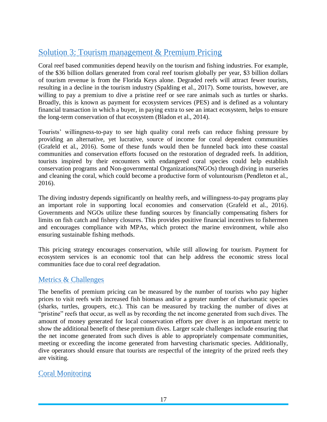## Solution 3: Tourism management & Premium Pricing

Coral reef based communities depend heavily on the tourism and fishing industries. For example, of the \$36 billion dollars generated from coral reef tourism globally per year, \$3 billion dollars of tourism revenue is from the Florida Keys alone. Degraded reefs will attract fewer tourists, resulting in a decline in the tourism industry (Spalding et al., 2017). Some tourists, however, are willing to pay a premium to dive a pristine reef or see rare animals such as turtles or sharks. Broadly, this is known as payment for ecosystem services (PES) and is defined as a voluntary financial transaction in which a buyer, in paying extra to see an intact ecosystem, helps to ensure the long-term conservation of that ecosystem (Bladon et al., 2014).

Tourists' willingness-to-pay to see high quality coral reefs can reduce fishing pressure by providing an alternative, yet lucrative, source of income for coral dependent communities (Grafeld et al., 2016). Some of these funds would then be funneled back into these coastal communities and conservation efforts focused on the restoration of degraded reefs. In addition, tourists inspired by their encounters with endangered coral species could help establish conservation programs and Non-governmental Organizations(NGOs) through diving in nurseries and cleaning the coral, which could become a productive form of voluntourism (Pendleton et al., 2016).

The diving industry depends significantly on healthy reefs, and willingness-to-pay programs play an important role in supporting local economies and conservation (Grafeld et al., 2016). Governments and NGOs utilize these funding sources by financially compensating fishers for limits on fish catch and fishery closures. This provides positive financial incentives to fishermen and encourages compliance with MPAs, which protect the marine environment, while also ensuring sustainable fishing methods.

This pricing strategy encourages conservation, while still allowing for tourism. Payment for ecosystem services is an economic tool that can help address the economic stress local communities face due to coral reef degradation.

#### Metrics & Challenges

The benefits of premium pricing can be measured by the number of tourists who pay higher prices to visit reefs with increased fish biomass and/or a greater number of charismatic species (sharks, turtles, groupers, etc.). This can be measured by tracking the number of dives at "pristine" reefs that occur, as well as by recording the net income generated from such dives. The amount of money generated for local conservation efforts per diver is an important metric to show the additional benefit of these premium dives. Larger scale challenges include ensuring that the net income generated from such dives is able to appropriately compensate communities, meeting or exceeding the income generated from harvesting charismatic species. Additionally, dive operators should ensure that tourists are respectful of the integrity of the prized reefs they are visiting.

#### Coral Monitoring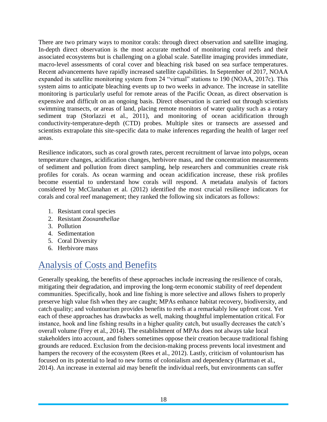There are two primary ways to monitor corals: through direct observation and satellite imaging. In-depth direct observation is the most accurate method of monitoring coral reefs and their associated ecosystems but is challenging on a global scale. Satellite imaging provides immediate, macro-level assessments of coral cover and bleaching risk based on sea surface temperatures. Recent advancements have rapidly increased satellite capabilities. In September of 2017, NOAA expanded its satellite monitoring system from 24 "virtual" stations to 190 (NOAA, 2017c). This system aims to anticipate bleaching events up to two weeks in advance. The increase in satellite monitoring is particularly useful for remote areas of the Pacific Ocean, as direct observation is expensive and difficult on an ongoing basis. Direct observation is carried out through scientists swimming transects, or areas of land, placing remote monitors of water quality such as a rotary sediment trap (Storlazzi et al., 2011), and monitoring of ocean acidification through conductivity-temperature-depth (CTD) probes. Multiple sites or transects are assessed and scientists extrapolate this site-specific data to make inferences regarding the health of larger reef areas.

Resilience indicators, such as coral growth rates, percent recruitment of larvae into polyps, ocean temperature changes, acidification changes, herbivore mass, and the concentration measurements of sediment and pollution from direct sampling, help researchers and communities create risk profiles for corals. As ocean warming and ocean acidification increase, these risk profiles become essential to understand how corals will respond. A metadata analysis of factors considered by McClanahan et al. (2012) identified the most crucial resilience indicators for corals and coral reef management; they ranked the following six indicators as follows:

- 1. Resistant coral species
- 2. Resistant *Zooxanthellae*
- 3. Pollution
- 4. Sedimentation
- 5. Coral Diversity
- 6. Herbivore mass

# Analysis of Costs and Benefits

Generally speaking, the benefits of these approaches include increasing the resilience of corals, mitigating their degradation, and improving the long-term economic stability of reef dependent communities. Specifically, hook and line fishing is more selective and allows fishers to properly preserve high value fish when they are caught; MPAs enhance habitat recovery, biodiversity, and catch quality; and voluntourism provides benefits to reefs at a remarkably low upfront cost. Yet each of these approaches has drawbacks as well, making thoughtful implementation critical. For instance, hook and line fishing results in a higher quality catch, but usually decreases the catch's overall volume (Frey et al., 2014). The establishment of MPAs does not always take local stakeholders into account, and fishers sometimes oppose their creation because traditional fishing grounds are reduced. Exclusion from the decision-making process prevents local investment and hampers the recovery of the ecosystem (Rees et al., 2012). Lastly, criticism of voluntourism has focused on its potential to lead to new forms of colonialism and dependency (Hartman et al., 2014). An increase in external aid may benefit the individual reefs, but environments can suffer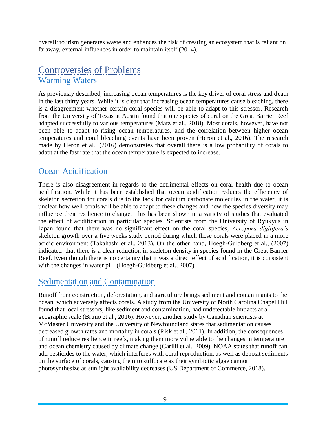overall: tourism generates waste and enhances the risk of creating an ecosystem that is reliant on faraway, external influences in order to maintain itself (2014).

## Controversies of Problems Warming Waters

As previously described, increasing ocean temperatures is the key driver of coral stress and death in the last thirty years. While it is clear that increasing ocean temperatures cause bleaching, there is a disagreement whether certain coral species will be able to adapt to this stressor. Research from the University of Texas at Austin found that one species of coral on the Great Barrier Reef adapted successfully to various temperatures (Matz et al., 2018). Most corals, however, have not been able to adapt to rising ocean temperatures, and the correlation between higher ocean temperatures and coral bleaching events have been proven (Heron et al., 2016). The research made by Heron et al., (2016) demonstrates that overall there is a low probability of corals to adapt at the fast rate that the ocean temperature is expected to increase.

## Ocean Acidification

There is also disagreement in regards to the detrimental effects on coral health due to ocean acidification. While it has been established that ocean acidification reduces the efficiency of skeleton secretion for corals due to the lack for calcium carbonate molecules in the water, it is unclear how well corals will be able to adapt to these changes and how the species diversity may influence their resilience to change. This has been shown in a variety of studies that evaluated the effect of acidification in particular species. Scientists from the University of Ryukyus in Japan found that there was no significant effect on the coral species, *Acropora digitifera's*  skeleton growth over a five weeks study period during which these corals were placed in a more acidic environment (Takahashi et al., 2013). On the other hand, Hoegh-Guldberg et al., (2007) indicated that there is a clear reduction in skeleton density in species found in the Great Barrier Reef. Even though there is no certainty that it was a direct effect of acidification, it is consistent with the changes in water pH (Hoegh-Guldberg et al., 2007).

#### Sedimentation and Contamination

Runoff from construction, deforestation, and agriculture brings sediment and contaminants to the ocean, which adversely affects corals. A study from the University of North Carolina Chapel Hill found that local stressors, like sediment and contamination, had undetectable impacts at a geographic scale (Bruno et al., 2016). However, another study by Canadian scientists at McMaster University and the University of Newfoundland states that sedimentation causes decreased growth rates and mortality in corals (Risk et al., 2011). In addition, the consequences of runoff reduce resilience in reefs, making them more vulnerable to the changes in temperature and ocean chemistry caused by climate change (Carilli et al., 2009). NOAA states that runoff can add pesticides to the water, which interferes with coral reproduction, as well as deposit sediments on the surface of corals, causing them to suffocate as their symbiotic algae cannot photosynthesize as sunlight availability decreases (US Department of Commerce, 2018).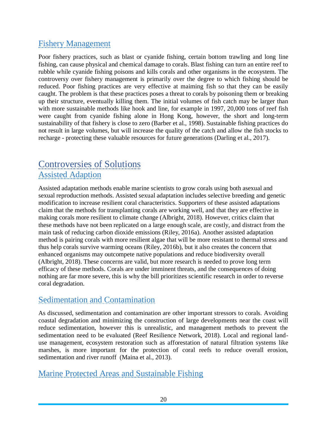## Fishery Management

Poor fishery practices, such as blast or cyanide fishing, certain bottom trawling and long line fishing, can cause physical and chemical damage to corals. Blast fishing can turn an entire reef to rubble while cyanide fishing poisons and kills corals and other organisms in the ecosystem. The controversy over fishery management is primarily over the degree to which fishing should be reduced. Poor fishing practices are very effective at maiming fish so that they can be easily caught. The problem is that these practices poses a threat to corals by poisoning them or breaking up their structure, eventually killing them. The initial volumes of fish catch may be larger than with more sustainable methods like hook and line, for example in 1997, 20,000 tons of reef fish were caught from cyanide fishing alone in Hong Kong, however, the short and long-term sustainability of that fishery is close to zero (Barber et al., 1998). Sustainable fishing practices do not result in large volumes, but will increase the quality of the catch and allow the fish stocks to recharge - protecting these valuable resources for future generations (Darling et al., 2017).

# Controversies of Solutions Assisted Adaption

Assisted adaptation methods enable marine scientists to grow corals using both asexual and sexual reproduction methods. Assisted sexual adaptation includes selective breeding and genetic modification to increase resilient coral characteristics. Supporters of these assisted adaptations claim that the methods for transplanting corals are working well, and that they are effective in making corals more resilient to climate change (Albright, 2018). However, critics claim that these methods have not been replicated on a large enough scale, are costly, and distract from the main task of reducing carbon dioxide emissions (Riley, 2016a). Another assisted adaptation method is pairing corals with more resilient algae that will be more resistant to thermal stress and thus help corals survive warming oceans (Riley, 2016b), but it also creates the concern that enhanced organisms may outcompete native populations and reduce biodiversity overall (Albright, 2018). These concerns are valid, but more research is needed to prove long term efficacy of these methods. Corals are under imminent threats, and the consequences of doing nothing are far more severe, this is why the bill prioritizes scientific research in order to reverse coral degradation.

## Sedimentation and Contamination

As discussed, sedimentation and contamination are other important stressors to corals. Avoiding coastal degradation and minimizing the construction of large developments near the coast will reduce sedimentation, however this is unrealistic, and management methods to prevent the sedimentation need to be evaluated (Reef Resilience Network, 2018). Local and regional landuse management, ecosystem restoration such as afforestation of natural filtration systems like marshes, is more important for the protection of coral reefs to reduce overall erosion, sedimentation and river runoff (Maina et al., 2013).

## Marine Protected Areas and Sustainable Fishing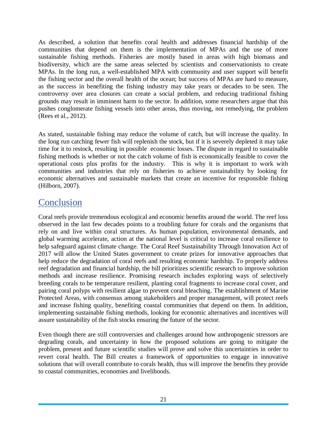As described, a solution that benefits coral health and addresses financial hardship of the communities that depend on them is the implementation of MPAs and the use of more sustainable fishing methods. Fisheries are mostly based in areas with high biomass and biodiversity, which are the same areas selected by scientists and conservationists to create MPAs. In the long run, a well-established MPA with community and user support will benefit the fishing sector and the overall health of the ocean; but success of MPAs are hard to measure, as the success in benefiting the fishing industry may take years or decades to be seen. The controversy over area closures can create a social problem, and reducing traditional fishing grounds may result in imminent harm to the sector. In addition, some researchers argue that this pushes conglomerate fishing vessels into other areas, thus moving, not remedying, the problem (Rees et al., 2012).

As stated, sustainable fishing may reduce the volume of catch, but will increase the quality. In the long run catching fewer fish will replenish the stock, but if it is severely depleted it may take time for it to restock, resulting in possible economic losses. The dispute in regard to sustainable fishing methods is whether or not the catch volume of fish is economically feasible to cover the operational costs plus profits for the industry. This is why it is important to work with communities and industries that rely on fisheries to achieve sustainability by looking for economic alternatives and sustainable markets that create an incentive for responsible fishing (Hilborn, 2007).

## **Conclusion**

Coral reefs provide tremendous ecological and economic benefits around the world. The reef loss observed in the last few decades points to a troubling future for corals and the organisms that rely on and live within coral structures. As human population, environmental demands, and global warming accelerate, action at the national level is critical to increase coral resilience to help safeguard against climate change. The Coral Reef Sustainability Through Innovation Act of 2017 will allow the United States government to create prizes for innovative approaches that help reduce the degradation of coral reefs and resulting economic hardship. To properly address reef degradation and financial hardship, the bill prioritizes scientific research to improve solution methods and increase resilience. Promising research includes exploring ways of selectively breeding corals to be temperature resilient, planting coral fragments to increase coral cover, and pairing coral polyps with resilient algae to prevent coral bleaching. The establishment of Marine Protected Areas, with consensus among stakeholders and proper management, will protect reefs and increase fishing quality, benefiting coastal communities that depend on them. In addition, implementing sustainable fishing methods, looking for economic alternatives and incentives will assure sustainability of the fish stocks ensuring the future of the sector.

Even though there are still controversies and challenges around how anthropogenic stressors are degrading corals, and uncertainty in how the proposed solutions are going to mitigate the problem, present and future scientific studies will prove and solve this uncertainties in order to revert coral health. The Bill creates a framework of opportunities to engage in innovative solutions that will overall contribute to corals health, thus will improve the benefits they provide to coastal communities, economies and livelihoods.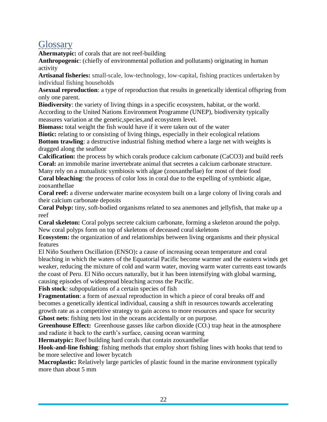# **Glossary**

**Ahermatypic:** of corals that are not reef-building

**Anthropogenic**: (chiefly of environmental pollution and pollutants) originating in human activity

**Artisanal fisheries:** small-scale, low-technology, low-capital, fishing practices undertaken by individual fishing households

**Asexual reproduction**: a type of reproduction that results in genetically identical offspring from only one parent.

**Biodiversity**: the variety of living things in a specific ecosystem, habitat, or the world. According to the United Nations Environment Programme (UNEP), biodiversity typically measures variation at the genetic,species,and ecosystem level.

**Biomass:** total weight the fish would have if it were taken out of the water

**Biotic:** relating to or consisting of living things, especially in their ecological relations **Bottom trawling**: a destructive industrial fishing method where a large net with weights is dragged along the seafloor

**Calcification:** the process by which corals produce calcium carbonate (CaCO3) and build reefs **Coral:** an immobile marine invertebrate animal that secretes a calcium carbonate structure.

Many rely on a mutualistic symbiosis with algae (zooxanthellae) for most of their food

**Coral bleaching**: the process of color loss in coral due to the expelling of symbiotic algae, zooxanthellae

**Coral reef:** a diverse underwater marine ecosystem built on a large colony of living corals and their calcium carbonate deposits

**Coral Polyp:** tiny, soft-bodied organisms related to sea anemones and jellyfish, that make up a reef

**Coral skeleton:** Coral polyps secrete calcium carbonate, forming a skeleton around the polyp. New coral polyps form on top of skeletons of deceased coral skeletons

**Ecosystem:** the organization of and relationships between living organisms and their physical features

El Niño Southern Oscillation (ENSO)**:** a cause of increasing ocean temperature and coral bleaching in which the waters of the Equatorial Pacific become warmer and the eastern winds get weaker, reducing the mixture of cold and warm water, moving warm water currents east towards the coast of Peru. El Niño occurs naturally, but it has been intensifying with global warming, causing episodes of widespread bleaching across the Pacific.

**Fish stock**: subpopulations of a certain species of fish

**Fragmentation**: a form of asexual reproduction in which a piece of coral breaks off and becomes a genetically identical individual, causing a shift in resources towards accelerating growth rate as a competitive strategy to gain access to more resources and space for security **Ghost nets**: fishing nets lost in the oceans accidentally or on purpose.

**Greenhouse Effect:** Greenhouse gasses like carbon dioxide (CO<sub>2</sub>) trap heat in the atmosphere and radiate it back to the earth's surface, causing ocean warming

**Hermatypic:** Reef building hard corals that contain zooxanthellae

**Hook-and-line fishing**: fishing methods that employ short fishing lines with hooks that tend to be more selective and lower bycatch

**Macroplastic:** Relatively large particles of plastic found in the marine environment typically more than about 5 mm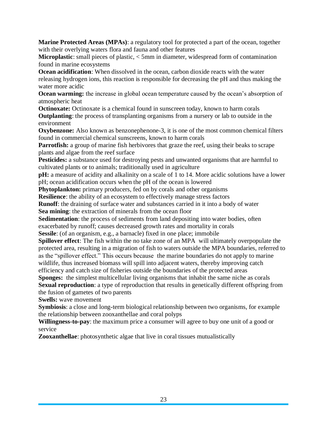**Marine Protected Areas (MPAs)**: a regulatory tool for protected a part of the ocean, together with their overlying waters flora and fauna and other features

**Microplastic**: small pieces of plastic, < 5mm in diameter, widespread form of contamination found in marine ecosystems

**Ocean acidification**: When dissolved in the ocean, carbon dioxide reacts with the water releasing hydrogen ions, this reaction is responsible for decreasing the pH and thus making the water more acidic

**Ocean warming:** the increase in global ocean temperature caused by the ocean's absorption of atmospheric heat

**Octinoxate:** Octinoxate is a chemical found in sunscreen today, known to harm corals **Outplanting**: the process of transplanting organisms from a nursery or lab to outside in the environment

**Oxybenzone:** Also known as benzonephenone-3, it is one of the most common chemical filters found in commercial chemical sunscreens, known to harm corals

**Parrotfish:** a group of marine fish herbivores that graze the reef, using their beaks to scrape plants and algae from the reef surface

Pesticides: a substance used for destroying pests and unwanted organisms that are harmful to cultivated plants or to animals; traditionally used in agriculture

**pH:** a measure of acidity and alkalinity on a scale of 1 to 14. More acidic solutions have a lower pH; ocean acidification occurs when the pH of the ocean is lowered

**Phytoplankton:** primary producers, fed on by corals and other organisms

**Resilience**: the ability of an ecosystem to effectively manage stress factors

**Runoff**: the draining of surface water and substances carried in it into a body of water **Sea mining**: the extraction of minerals from the ocean floor

**Sedimentation**: the process of sediments from land depositing into water bodies, often exacerbated by runoff; causes decreased growth rates and mortality in corals

**Sessile**: (of an organism, e.g., a barnacle) fixed in one place; immobile

**Spillover effect**: The fish within the no take zone of an MPA will ultimately overpopulate the protected area, resulting in a migration of fish to waters outside the MPA boundaries, referred to as the "spillover effect." This occurs because the marine boundaries do not apply to marine wildlife, thus increased biomass will spill into adjacent waters, thereby improving catch efficiency and catch size of fisheries outside the boundaries of the protected areas

**Sponges:** the simplest multicellular living organisms that inhabit the same niche as corals **Sexual reproduction**: a type of reproduction that results in genetically different offspring from

the fusion of gametes of two parents

**Swells:** wave movement

**Symbiosis**: a close and long-term biological relationship between two organisms, for example the relationship between zooxanthellae and coral polyps

**Willingness-to-pay**: the maximum price a consumer will agree to buy one unit of a good or service

**Zooxanthellae**: photosynthetic algae that live in coral tissues mutualistically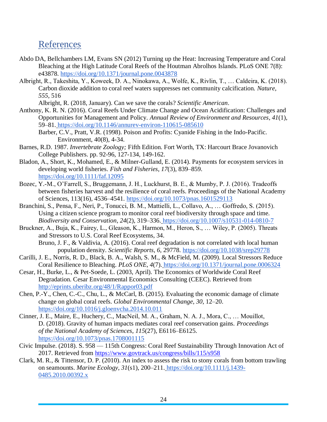## References

- Abdo DA, Bellchambers LM, Evans SN (2012) Turning up the Heat: Increasing Temperature and Coral Bleaching at the High Latitude Coral Reefs of the Houtman Abrolhos Islands. PLoS ONE 7(8): e43878.<https://doi.org/10.1371/journal.pone.0043878>
- Albright, R., Takeshita, Y., Koweek, D. A., Ninokawa, A., Wolfe, K., Rivlin, T., … Caldeira, K. (2018). Carbon dioxide addition to coral reef waters suppresses net community calcification. *Nature*, *555*, 516

Albright, R. (2018, January). Can we save the corals? *Scientific American*.

- Anthony, K. R. N. (2016). Coral Reefs Under Climate Change and Ocean Acidification: Challenges and Opportunities for Management and Policy. *Annual Review of Environment and Resources*, *41*(1), 59–81. <https://doi.org/10.1146/annurev-environ-110615-085610>
	- Barber, C.V., Pratt, V.R. (1998). Poison and Profits: Cyanide Fishing in the Indo-Pacific. Environment, 40(8), 4-34.
- Barnes, R.D. 1987. *Invertebrate Zoology;* Fifth Edition. Fort Worth, TX: Harcourt Brace Jovanovich College Publishers. pp. 92-96, 127-134, 149-162.
- Bladon, A., Short, K., Mohamed, E., & Milner-Gulland, E. (2014). Payments for ecosystem services in developing world fisheries. *Fish and Fisheries*, *17*(3), 839–859. <https://doi.org/10.1111/faf.12095>
- Bozec, Y.-M., O'Farrell, S., Bruggemann, J. H., Luckhurst, B. E., & Mumby, P. J. (2016). Tradeoffs between fisheries harvest and the resilience of coral reefs. Proceedings of the National Academy of Sciences, 113(16), 4536–4541.<https://doi.org/10.1073/pnas.1601529113>
- Branchini, S., Pensa, F., Neri, P., Tonucci, B. M., Mattielli, L., Collavo, A., … Goffredo, S. (2015). Using a citizen science program to monitor coral reef biodiversity through space and time. *Biodiversity and Conservation*, *24*(2), 319–336. <https://doi.org/10.1007/s10531-014-0810-7>
- Bruckner, A., Buja, K., Fairey, L., Gleason, K., Harmon, M., Heron, S., … Wiley, P. (2005). Threats and Stressors to U.S. Coral Reef Ecosystems, 34. Bruno, J. F., & Valdivia, A. (2016). Coral reef degradation is not correlated with local human
	- population density. *Scientific Reports*, *6*, 29778.<https://doi.org/10.1038/srep29778>
- Carilli, J. E., Norris, R. D., Black, B. A., Walsh, S. M., & McField, M. (2009). Local Stressors Reduce Coral Resilience to Bleaching. *PLoS ONE*, *4*(7). <https://doi.org/10.1371/journal.pone.0006324>
- Cesar, H., Burke, L., & Pet-Soede, L. (2003, April). The Economics of Worldwide Coral Reef Degradation. Cesar Environmental Economics Consulting (CEEC). Retrieved fro[m](http://eprints.uberibz.org/48/1/Rappor03.pdf) <http://eprints.uberibz.org/48/1/Rappor03.pdf>
- Chen, P.-Y., Chen, C.-C., Chu, L., & McCarl, B. (2015). Evaluating the economic damage of climate change on global coral reefs. *Global Environmental Change*, *30*, 12–20[.](https://doi.org/10.1016/j.gloenvcha.2014.10.011) <https://doi.org/10.1016/j.gloenvcha.2014.10.011>
- Cinner, J. E., Maire, E., Huchery, C., MacNeil, M. A., Graham, N. A. J., Mora, C., … Mouillot, D. (2018). Gravity of human impacts mediates coral reef conservation gains. *Proceedings of the National Academy of Sciences*, *115*(27), E6116–E6125. <https://doi.org/10.1073/pnas.1708001115>
- Civic Impulse. (2018). S. 958 115th Congress: Coral Reef Sustainability Through Innovation Act of 2017. Retrieved from<https://www.govtrack.us/congress/bills/115/s958>
- Clark, M. R., & Tittensor, D. P. (2010). An index to assess the risk to stony corals from bottom trawling on seamounts. *Marine Ecology*, *31*(s1), 200–211. [https://doi.org/10.1111/j.1439-](https://doi.org/10.1111/j.1439-0485.2010.00392.x) [0485.2010.00392.x](https://doi.org/10.1111/j.1439-0485.2010.00392.x)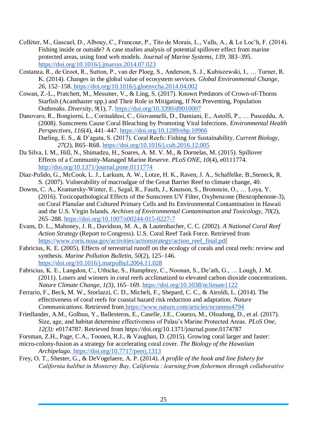- Colléter, M., Gascuel, D., Albouy, C., Francour, P., Tito de Morais, L., Valls, A., & Le Loc'h, F. (2014). Fishing inside or outside? A case studies analysis of potential spillover effect from marine protected areas, using food web models. *Journal of Marine Systems*, *139*, 383–395[.](https://doi.org/10.1016/j.jmarsys.2014.07.023) <https://doi.org/10.1016/j.jmarsys.2014.07.023>
- Costanza, R., de Groot, R., Sutton, P., van der Ploeg, S., Anderson, S. J., Kubiszewski, I., … Turner, R. K. (2014). Changes in the global value of ecosystem services. *Global Environmental Change*, *26*, 152–158. <https://doi.org/10.1016/j.gloenvcha.2014.04.002>
- Cowan, Z.-L., Pratchett, M., Messmer, V., & Ling, S. (2017). Known Predators of Crown-of-Thorns Starfish (Acanthaster spp.) and Their Role in Mitigating, If Not Preventing, Population Outbreaks. *Diversity*, *9*(1), 7.<https://doi.org/10.3390/d9010007>
- Danovaro, R., Bongiorni, L., Corinaldesi, C., Giovannelli, D., Damiani, E., Astolfi, P., … Pusceddu, A. (2008). Sunscreens Cause Coral Bleaching by Promoting Viral Infections. *Environmental Health Perspectives*, *116*(4), 441–447.<https://doi.org/10.1289/ehp.10966> Darling, E. S., & D'agata, S. (2017). Coral Reefs: Fishing for Sustainability. *Current Biology*, *27*(2), R65–R68. https://doi.org/10.1016/j.cub.2016.12.005
- Da Silva, I. M., Hill, N., Shimadzu, H., Soares, A. M. V. M., & Dornelas, M. (2015). Spillover Effects of a Community-Managed Marine Reserve. *PLoS ONE, 10*(4), e0111774. <http://doi.org/10.1371/journal.pone.0111774>
- Diaz-Pulido, G., McCook, L. J., Larkum, A. W., Lotze, H. K., Raven, J. A., Schaffelke, B.,Steneck, R. S. (2007). Vulnerability of macroalgae of the Great Barrier Reef to climate change, 40.
- Downs, C. A., Kramarsky-Winter, E., Segal, R., Fauth, J., Knutson, S., Bronstein, O., … Loya, Y. (2016). Toxicopathological Effects of the Sunscreen UV Filter, Oxybenzone (Benzophenone-3), on Coral Planulae and Cultured Primary Cells and Its Environmental Contamination in Hawaii and the U.S. Virgin Islands. *Archives of Environmental Contamination and Toxicology*, *70*(2), 265–288.<https://doi.org/10.1007/s00244-015-0227-7>
- Evans, D. L., Mahoney, J. R., Davidson, M. A., & Lautenbacher, C. C. (2002). *A National Coral Reef Action Strategy* (Report to Congress). U.S. Coral Reef Task Force. Retrieved fro[m](https://www.coris.noaa.gov/activities/actionstrategy/action_reef_final.pdf) [https://www.coris.noaa.gov/activities/actionstrategy/action\\_reef\\_final.pdf](https://www.coris.noaa.gov/activities/actionstrategy/action_reef_final.pdf)
- Fabricius, K. E. (2005). Effects of terrestrial runoff on the ecology of corals and coral reefs: review and synthesis. *Marine Pollution Bulletin*, *50*(2), 125–146[.](https://doi.org/10.1016/j.marpolbul.2004.11.028) <https://doi.org/10.1016/j.marpolbul.2004.11.028>
- Fabricius, K. E., Langdon, C., Uthicke, S., Humphrey, C., Noonan, S., De'ath, G., … Lough, J. M. (2011). Losers and winners in coral reefs acclimatized to elevated carbon dioxide concentrations. *Nature Climate Change, 1(3)*, 165–169. https://doi.org/10.1038/nclimate1122
- Ferrario, F., Beck, M. W., Storlazzi, C. D., Micheli, F., Shepard, C. C., & Airoldi, L. (2014). The effectiveness of coral reefs for coastal hazard risk reduction and adaptation. *Nature Communications*. Retrieved from <https://www.nature.com/articles/ncomms4794>
- Friedlander, A.M., Golbuu, Y., Ballesteros, E., Caselle, J.E., Couezo, M., Olsudong, D., et al. (2017). Size, age, and habitat determine effectiveness of Palau's Marine Protected Areas. *PLoS One, 12(3):* e0174787. Retrieved from https://doi.org/10.1371/journal.pone.0174787
- Forsman, Z.H., Page, C.A., Toonen, R.J., & Vaughan, D. (2015). Growing coral larger and faster:
- micro-colony-fusion as a strategy for accelerating coral cover. *The Biology of the Hawaiian Archipelago.* https://doi.org/10.7717/peerj.1313
- Frey, O. T., Shester, G., & DeVogelaere, A. P. (2014). *A profile of the hook and line fishery for California halibut in Monterey Bay, California : learning from fishermen through collaborative*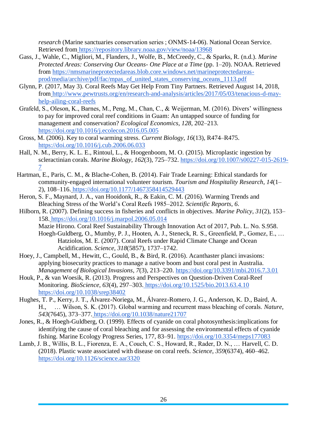*research* (Marine sanctuaries conservation series ; ONMS-14-06). National Ocean Service. Retrieved from <https://repository.library.noaa.gov/view/noaa/13968>

- Gass, J., Wahle, C., Migliori, M., Flanders, J., Wolfe, B., McCreedy, C., & Sparks, R. (n.d.). *Marine Protected Areas: Conserving Our Oceans- One Place at a Time* (pp. 1–20). NOAA. Retrieved from [https://nmsmarineprotectedareas.blob.core.windows.net/marineprotectedareas](https://nmsmarineprotectedareas.blob.core.windows.net/marineprotectedareas-prod/media/archive/pdf/fac/mpas_of_united_states_conserving_oceans_1113.pdf)[prod/media/archive/pdf/fac/mpas\\_of\\_united\\_states\\_conserving\\_oceans\\_1113.pdf](https://nmsmarineprotectedareas.blob.core.windows.net/marineprotectedareas-prod/media/archive/pdf/fac/mpas_of_united_states_conserving_oceans_1113.pdf)
- Glynn, P. (2017, May 3). Coral Reefs May Get Help From Tiny Partners. Retrieved August 14, 2018, from [http://www.pewtrusts.org/en/research-and-analysis/articles/2017/05/03/tenacious-d-may](http://www.pewtrusts.org/en/research-and-analysis/articles/2017/05/03/tenacious-d-may-help-ailing-coral-reefs)[help-ailing-coral-reefs](http://www.pewtrusts.org/en/research-and-analysis/articles/2017/05/03/tenacious-d-may-help-ailing-coral-reefs)
- Grafeld, S., Oleson, K., Barnes, M., Peng, M., Chan, C., & Weijerman, M. (2016). Divers' willingness to pay for improved coral reef conditions in Guam: An untapped source of funding for management and conservation? *Ecological Economics, 128*, 202–213. <https://doi.org/10.1016/j.ecolecon.2016.05.005>
- Gross, M. (2006). Key to coral warming stress. *Current Biology*, *16*(13), R474–R475. <https://doi.org/10.1016/j.cub.2006.06.033>
- Hall, N. M., Berry, K. L. E., Rintoul, L., & Hoogenboom, M. O. (2015). Microplastic ingestion by scleractinian corals. *Marine Biology*, *162*(3), 725–732. [https://doi.org/10.1007/s00227-015-2619-](https://doi.org/10.1007/s00227-015-2619-7) [7](https://doi.org/10.1007/s00227-015-2619-7)
- Hartman, E., Paris, C. M., & Blache-Cohen, B. (2014). Fair Trade Learning: Ethical standards for community-engaged international volunteer tourism. *Tourism and Hospitality Research*, *14*(1– 2), 108–116. <https://doi.org/10.1177/1467358414529443>
- Heron, S. F., Maynard, J. A., van Hooidonk, R., & Eakin, C. M. (2016). Warming Trends and Bleaching Stress of the World's Coral Reefs 1985–2012. *Scientific Reports*, *6*.
- Hilborn, R. (2007). Defining success in fisheries and conflicts in objectives. *Marine Policy*, *31*(2), 153– 158. <https://doi.org/10.1016/j.marpol.2006.05.014> Mazie Hirono. Coral Reef Sustainability Through Innovation Act of 2017, Pub. L. No. S.958.
	- Hoegh-Guldberg, O., Mumby, P. J., Hooten, A. J., Steneck, R. S., Greenfield, P., Gomez, E., … Hatziolos, M. E. (2007). Coral Reefs under Rapid Climate Change and Ocean Acidification. *Science*, *318*(5857), 1737–1742.
- Hoey, J., Campbell, M., Hewitt, C., Gould, B., & Bird, R. (2016). Acanthaster planci invasions: applying biosecurity practices to manage a native boom and bust coral pest in Australia. *Management of Biological Invasions*, *7*(3), 213–220.<https://doi.org/10.3391/mbi.2016.7.3.01>
- Houk, P., & van Woesik, R. (2013). Progress and Perspectives on Question-Driven Coral-Reef Monitoring. *BioScience*, *63*(4), 297–303. <https://doi.org/10.1525/bio.2013.63.4.10> <https://doi.org/10.1038/srep38402>
- Hughes, T. P., Kerry, J. T., Álvarez-Noriega, M., Álvarez-Romero, J. G., Anderson, K. D., Baird, A. H., … Wilson, S. K. (2017). Global warming and recurrent mass bleaching of corals. *Nature*, *543*(7645), 373–377. <https://doi.org/10.1038/nature21707>
- Jones, R., & Hoegh-Guldberg, O. (1999). Effects of cyanide on coral photosynthesis:implications for identifying the cause of coral bleaching and for assessing the environmental effects of cyanide fishing. Marine Ecology Progress Series, 177, 83–91.<https://doi.org/10.3354/meps177083>
- Lamb, J. B., Willis, B. L., Fiorenza, E. A., Couch, C. S., Howard, R., Rader, D. N., … Harvell, C. D. (2018). Plastic waste associated with disease on coral reefs. *Science*, *359*(6374), 460–462. <https://doi.org/10.1126/science.aar3320>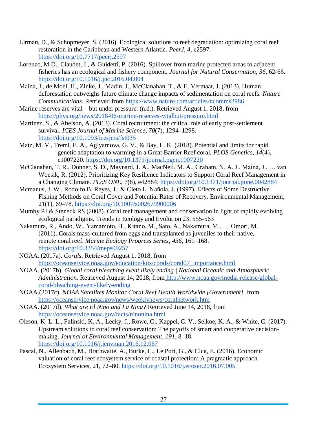- Lirman, D., & Schopmeyer, S. (2016). Ecological solutions to reef degradation: optimizing coral reef restoration in the Caribbean and Western Atlantic. *PeerJ*, *4*, e2597[.](https://doi.org/10.7717/peerj.2597) <https://doi.org/10.7717/peerj.2597>
- Lorenzo, M.D., Claudet, J., & Guidetti, P. (2016). Spillover from marine protected areas to adjacent fisheries has an ecological and fishery component. *Journal for Natural Conservation*, *36,* 62-66. <https://doi.org/10.1016/j.jnc.2016.04.004>
- Maina, J., de Moel, H., Zinke, J., Madin, J., McClanahan, T., & E. Vermaat, J. (2013). Human deforestation outweighs future climate change impacts of sedimentation on coral reefs. *Nature Communications*. Retrieved from <https://www.nature.com/articles/ncomms2986>
- Marine reserves are vital—but under pressure. (n.d.). Retrieved August 1, 2018, from <https://phys.org/news/2018-06-marine-reserves-vitalbut-pressure.html>
- Martinez, S., & Abelson, A. (2013). Coral recruitment: the critical role of early post-settlement survival. *ICES Journal of Marine Science*, *70*(7), 1294–1298. <https://doi.org/10.1093/icesjms/fst035>
- Matz, M. V., Treml, E. A., Aglyamova, G. V., & Bay, L. K. (2018). Potential and limits for rapid genetic adaptation to warming in a Great Barrier Reef coral. *PLOS Genetics*, *14*(4), e1007220. https://doi.org/10.1371/journal.pgen.1007220
- McClanahan, T. R., Donner, S. D., Maynard, J. A., MacNeil, M. A., Graham, N. A. J., Maina, J., … van Woesik, R. (2012). Prioritizing Key Resilience Indicators to Support Coral Reef Management in a Changing Climate. *PLoS ONE*, *7*(8), e42884. <https://doi.org/10.1371/journal.pone.0042884>
- Mcmanus, J. W., Rodolfo B. Reyes, J., & Cleto L. Nañola, J. (1997). Effects of Some Destructive Fishing Methods on Coral Cover and Potential Rates of Recovery. Environmental Management, 21(1), 69–78.<https://doi.org/10.1007/s002679900006>
- Mumby PJ & Steneck RS (2008). Coral reef management and conservation in light of rapidly evolving ecological paradigms. Trends in Ecology and Evolution 23: 555-563
- Nakamura, R., Ando, W., Yamamoto, H., Kitano, M., Sato, A., Nakamura, M., … Omori, M. (2011). Corals mass-cultured from eggs and transplanted as juveniles to their native, remote coral reef. *Marine Ecology Progress Series*, *436*, 161–168. https://doi.org/10.3354/meps09257
- NOAA. (2017a). *Corals*. Retrieved August 1, 2018, from [https://oceanservice.noaa.gov/education/kits/corals/coral07\\_importance.html](https://oceanservice.noaa.gov/education/kits/corals/coral07_importance.html)
- NOAA. (2017b). *Global coral bleaching event likely ending | National Oceanic and Atmospheric Administration.* Retrieved August 14, 2018, from [http://www.noaa.gov/media-release/global](http://www.noaa.gov/media-release/global-coral-bleaching-event-likely-ending)[coral-bleaching-event-likely-ending](http://www.noaa.gov/media-release/global-coral-bleaching-event-likely-ending)
- NOAA.(2017c). *NOAA Satellites Monitor Coral Reef Health Worldwide [Government].* fro[m](https://oceanservice.noaa.gov/news/weeklynews/coralnetwork.html) [https://oceanservice.noaa.gov/news/weeklynews/coralnetwork.htm](https://oceanservice.noaa.gov/news/weeklynews/coralnetwork.html)
- NOAA. (2017d). *What are El Nino and La Nina?* Retrieved June 14, 2018, from <https://oceanservice.noaa.gov/facts/ninonina.html>
- Oleson, K. L. L., Falinski, K. A., Lecky, J., Rowe, C., Kappel, C. V., Selkoe, K. A., & White, C. (2017). Upstream solutions to coral reef conservation: The payoffs of smart and cooperative decisionmaking. *Journal of Environmental Management*, *191*, 8–18. <https://doi.org/10.1016/j.jenvman.2016.12.067>
- Pascal, N., Allenbach, M., Brathwaite, A., Burke, L., Le Port, G., & Clua, E. (2016). Economic valuation of coral reef ecosystem service of coastal protection: A pragmatic approach. Ecosystem Services, 21, 72–80. <https://doi.org/10.1016/j.ecoser.2016.07.005>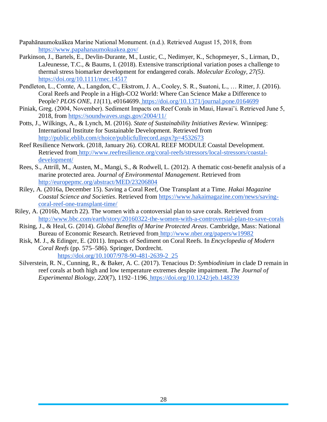- Papahānaumokuākea Marine National Monument. (n.d.). Retrieved August 15, 2018, fro[m](https://www.papahanaumokuakea.gov/) <https://www.papahanaumokuakea.gov/>
- Parkinson, J., Bartels, E., Devlin-Durante, M., Lustic, C., Nedimyer, K., Schopmeyer, S., Lirman, D., LaJeunesse, T.C., & Baums, I. (2018). Extensive transcriptional variation poses a challenge to thermal stress biomarker development for endangered corals. *Molecular Ecology, 27(5)*. <https://doi.org/10.1111/mec.14517>
- Pendleton, L., Comte, A., Langdon, C., Ekstrom, J. A., Cooley, S. R., Suatoni, L., … Ritter, J. (2016). Coral Reefs and People in a High-CO2 World: Where Can Science Make a Difference to People? *PLOS ONE*, *11*(11), e0164699. <https://doi.org/10.1371/journal.pone.0164699>
- Piniak, Greg. (2004, November). Sediment Impacts on Reef Corals in Maui, Hawai'i. Retrieved June 5, 2018, from<https://soundwaves.usgs.gov/2004/11/>
- Potts, J., Wilkings, A., & Lynch, M. (2016). *State of Sustainability Initiatives Review.* Winnipeg: International Institute for Sustainable Development. Retrieved fro[m](http://public.eblib.com/choice/publicfullrecord.aspx?p=4532673) <http://public.eblib.com/choice/publicfullrecord.aspx?p=4532673>
- Reef Resilience Network. (2018, January 26). CORAL REEF MODULE Coastal Development. Retrieved from [http://www.reefresilience.org/coral-reefs/stressors/local-stressors/coastal](http://www.reefresilience.org/coral-reefs/stressors/local-stressors/coastal-development/)[development/](http://www.reefresilience.org/coral-reefs/stressors/local-stressors/coastal-development/)
- Rees, S., Attrill, M., Austen, M., Mangi, S., & Rodwell, L. (2012). A thematic cost-benefit analysis of a marine protected area. *Journal of Environmental Management*. Retrieved fro[m](http://europepmc.org/abstract/MED/23206804) <http://europepmc.org/abstract/MED/23206804>
- Riley, A. (2016a, December 15). Saving a Coral Reef, One Transplant at a Time. *Hakai Magazine Coastal Science and Societies*. Retrieved from [https://www.hakaimagazine.com/news/saving](https://www.hakaimagazine.com/news/saving-coral-reef-one-transplant-time/)[coral-reef-one-transplant-time/](https://www.hakaimagazine.com/news/saving-coral-reef-one-transplant-time/)
- Riley, A. (2016b, March 22). The women with a contoversial plan to save corals. Retrieved fro[m](http://www.bbc.com/earth/story/20160322-the-women-with-a-controversial-plan-to-save-corals) <http://www.bbc.com/earth/story/20160322-the-women-with-a-controversial-plan-to-save-corals>
- Rising, J., & Heal, G. (2014). *Global Benefits of Marine Protected Areas*. Cambridge, Mass: National Bureau of Economic Research. Retrieved from <http://www.nber.org/papers/w19982>
- Risk, M. J., & Edinger, E. (2011). Impacts of Sediment on Coral Reefs. In *Encyclopedia of Modern Coral Reefs* (pp. 575–586). Springer, Dordrecht. [https://doi.org/10.1007/978-90-481-2639-2\\_25](https://doi.org/10.1007/978-90-481-2639-2_25)
- Silverstein, R. N., Cunning, R., & Baker, A. C. (2017). Tenacious D: *Symbiodinium* in clade D remain in reef corals at both high and low temperature extremes despite impairment. *The Journal of Experimental Biology*, *220*(7), 1192–1196. <https://doi.org/10.1242/jeb.148239>